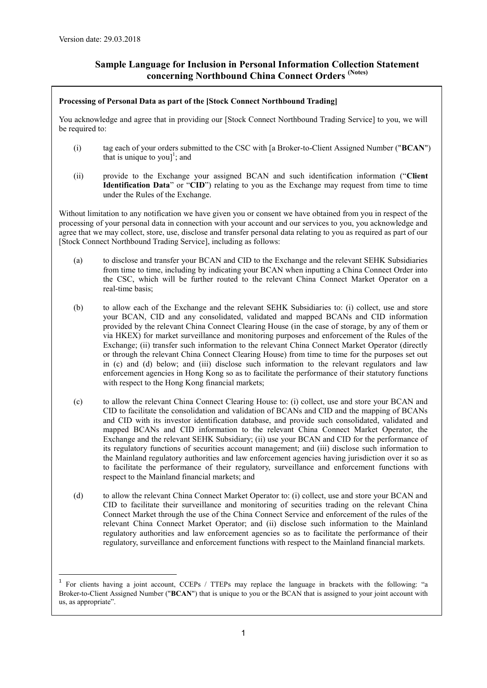-

# **Sample Language for Inclusion in Personal Information Collection Statement concerning Northbound China Connect Orders (Notes)**

## **Processing of Personal Data as part of the [Stock Connect Northbound Trading]**

You acknowledge and agree that in providing our [Stock Connect Northbound Trading Service] to you, we will be required to:

- (i) tag each of your orders submitted to the CSC with [a Broker-to-Client Assigned Number ("**BCAN**") that is unique to you]<sup>1</sup>; and
- (ii) provide to the Exchange your assigned BCAN and such identification information ("**Client Identification Data**" or "**CID**") relating to you as the Exchange may request from time to time under the Rules of the Exchange.

Without limitation to any notification we have given you or consent we have obtained from you in respect of the processing of your personal data in connection with your account and our services to you, you acknowledge and agree that we may collect, store, use, disclose and transfer personal data relating to you as required as part of our [Stock Connect Northbound Trading Service], including as follows:

- (a) to disclose and transfer your BCAN and CID to the Exchange and the relevant SEHK Subsidiaries from time to time, including by indicating your BCAN when inputting a China Connect Order into the CSC, which will be further routed to the relevant China Connect Market Operator on a real-time basis;
- (b) to allow each of the Exchange and the relevant SEHK Subsidiaries to: (i) collect, use and store your BCAN, CID and any consolidated, validated and mapped BCANs and CID information provided by the relevant China Connect Clearing House (in the case of storage, by any of them or via HKEX) for market surveillance and monitoring purposes and enforcement of the Rules of the Exchange; (ii) transfer such information to the relevant China Connect Market Operator (directly or through the relevant China Connect Clearing House) from time to time for the purposes set out in (c) and (d) below; and (iii) disclose such information to the relevant regulators and law enforcement agencies in Hong Kong so as to facilitate the performance of their statutory functions with respect to the Hong Kong financial markets;
- (c) to allow the relevant China Connect Clearing House to: (i) collect, use and store your BCAN and CID to facilitate the consolidation and validation of BCANs and CID and the mapping of BCANs and CID with its investor identification database, and provide such consolidated, validated and mapped BCANs and CID information to the relevant China Connect Market Operator, the Exchange and the relevant SEHK Subsidiary; (ii) use your BCAN and CID for the performance of its regulatory functions of securities account management; and (iii) disclose such information to the Mainland regulatory authorities and law enforcement agencies having jurisdiction over it so as to facilitate the performance of their regulatory, surveillance and enforcement functions with respect to the Mainland financial markets; and
- (d) to allow the relevant China Connect Market Operator to: (i) collect, use and store your BCAN and CID to facilitate their surveillance and monitoring of securities trading on the relevant China Connect Market through the use of the China Connect Service and enforcement of the rules of the relevant China Connect Market Operator; and (ii) disclose such information to the Mainland regulatory authorities and law enforcement agencies so as to facilitate the performance of their regulatory, surveillance and enforcement functions with respect to the Mainland financial markets.

<sup>&</sup>lt;sup>1</sup> For clients having a joint account, CCEPs / TTEPs may replace the language in brackets with the following: "a Broker-to-Client Assigned Number ("**BCAN**") that is unique to you or the BCAN that is assigned to your joint account with us, as appropriate".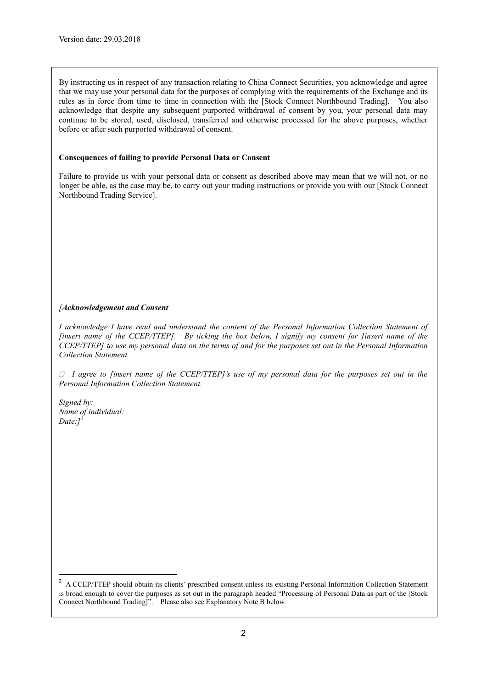By instructing us in respect of any transaction relating to China Connect Securities, you acknowledge and agree that we may use your personal data for the purposes of complying with the requirements of the Exchange and its rules as in force from time to time in connection with the [Stock Connect Northbound Trading]. You also acknowledge that despite any subsequent purported withdrawal of consent by you, your personal data may continue to be stored, used, disclosed, transferred and otherwise processed for the above purposes, whether before or after such purported withdrawal of consent.

#### **Consequences of failing to provide Personal Data or Consent**

Failure to provide us with your personal data or consent as described above may mean that we will not, or no longer be able, as the case may be, to carry out your trading instructions or provide you with our [Stock Connect Northbound Trading Service].

# *[Acknowledgement and Consent*

*I acknowledge I have read and understand the content of the Personal Information Collection Statement of [insert name of the CCEP/TTEP]. By ticking the box below, I signify my consent for [insert name of the CCEP/TTEP] to use my personal data on the terms of and for the purposes set out in the Personal Information Collection Statement.* 

 $\Box$  *I* agree to finsert name of the CCEP/TTEP]'s use of my personal data for the purposes set out in the *Personal Information Collection Statement.*

*Signed by: Name of individual: Date:]<sup>2</sup>*

-

<sup>&</sup>lt;sup>2</sup> A CCEP/TTEP should obtain its clients' prescribed consent unless its existing Personal Information Collection Statement is broad enough to cover the purposes as set out in the paragraph headed "Processing of Personal Data as part of the [Stock Connect Northbound Trading]". Please also see Explanatory Note B below.